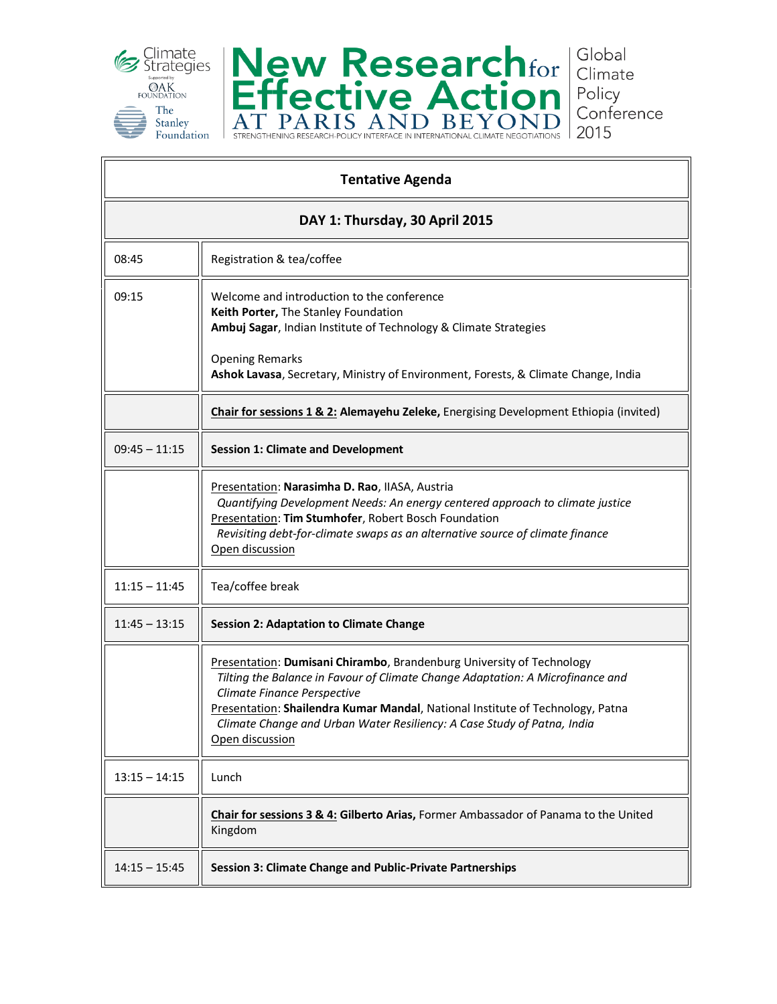



**Tentative Agenda DAY 1: Thursday, 30 April 2015** 08:45 | Registration & tea/coffee 09:15 **Welcome and introduction to the conference Keith Porter,** The Stanley Foundation **Ambuj Sagar**, Indian Institute of Technology & Climate Strategies Opening Remarks **Ashok Lavasa**, Secretary, Ministry of Environment, Forests, & Climate Change, India **Chair for sessions 1 & 2: Alemayehu Zeleke,** Energising Development Ethiopia (invited) 09:45 – 11:15 **Session 1: Climate and Development** Presentation: **Narasimha D. Rao**, IIASA, Austria *Quantifying Development Needs: An energy centered approach to climate justice* Presentation: **Tim Stumhofer**, Robert Bosch Foundation *Revisiting debt-for-climate swaps as an alternative source of climate finance* Open discussion 11:15 – 11:45  $\parallel$  Tea/coffee break 11:45 – 13:15 **Session 2: Adaptation to Climate Change** Presentation: **Dumisani Chirambo**, Brandenburg University of Technology *Tilting the Balance in Favour of Climate Change Adaptation: A Microfinance and Climate Finance Perspective* Presentation: **Shailendra Kumar Mandal**, National Institute of Technology, Patna *Climate Change and Urban Water Resiliency: A Case Study of Patna, India* Open discussion  $13:15 - 14:15$  | Lunch **Chair for sessions 3 & 4: Gilberto Arias,** Former Ambassador of Panama to the United Kingdom 14:15 – 15:45 **Session 3: Climate Change and Public-Private Partnerships**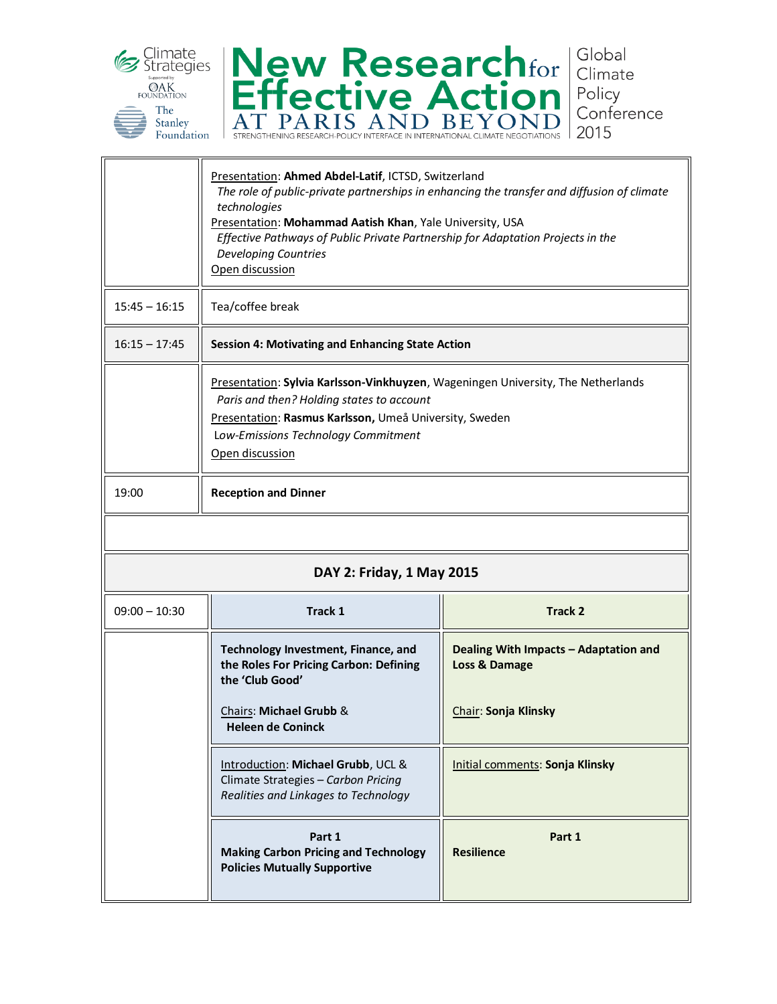



|                           | Presentation: Ahmed Abdel-Latif, ICTSD, Switzerland<br>The role of public-private partnerships in enhancing the transfer and diffusion of climate<br>technologies<br>Presentation: Mohammad Aatish Khan, Yale University, USA<br>Effective Pathways of Public Private Partnership for Adaptation Projects in the<br><b>Developing Countries</b><br>Open discussion |                                                        |  |
|---------------------------|--------------------------------------------------------------------------------------------------------------------------------------------------------------------------------------------------------------------------------------------------------------------------------------------------------------------------------------------------------------------|--------------------------------------------------------|--|
| $15:45 - 16:15$           | Tea/coffee break                                                                                                                                                                                                                                                                                                                                                   |                                                        |  |
| $16:15 - 17:45$           | <b>Session 4: Motivating and Enhancing State Action</b>                                                                                                                                                                                                                                                                                                            |                                                        |  |
|                           | Presentation: Sylvia Karlsson-Vinkhuyzen, Wageningen University, The Netherlands<br>Paris and then? Holding states to account<br>Presentation: Rasmus Karlsson, Umeå University, Sweden<br>Low-Emissions Technology Commitment<br>Open discussion                                                                                                                  |                                                        |  |
| 19:00                     | <b>Reception and Dinner</b>                                                                                                                                                                                                                                                                                                                                        |                                                        |  |
|                           |                                                                                                                                                                                                                                                                                                                                                                    |                                                        |  |
| DAY 2: Friday, 1 May 2015 |                                                                                                                                                                                                                                                                                                                                                                    |                                                        |  |
| $09:00 - 10:30$           | Track 1                                                                                                                                                                                                                                                                                                                                                            | <b>Track 2</b>                                         |  |
|                           | Technology Investment, Finance, and<br>the Roles For Pricing Carbon: Defining<br>the 'Club Good'                                                                                                                                                                                                                                                                   | Dealing With Impacts - Adaptation and<br>Loss & Damage |  |
|                           | Chairs: Michael Grubb &<br><b>Heleen de Coninck</b>                                                                                                                                                                                                                                                                                                                | Chair: Sonja Klinsky                                   |  |
|                           | Introduction: Michael Grubb, UCL &<br>Climate Strategies - Carbon Pricing<br>Realities and Linkages to Technology                                                                                                                                                                                                                                                  | Initial comments: Sonja Klinsky                        |  |
|                           | Part 1<br><b>Making Carbon Pricing and Technology</b><br><b>Policies Mutually Supportive</b>                                                                                                                                                                                                                                                                       | Part 1<br><b>Resilience</b>                            |  |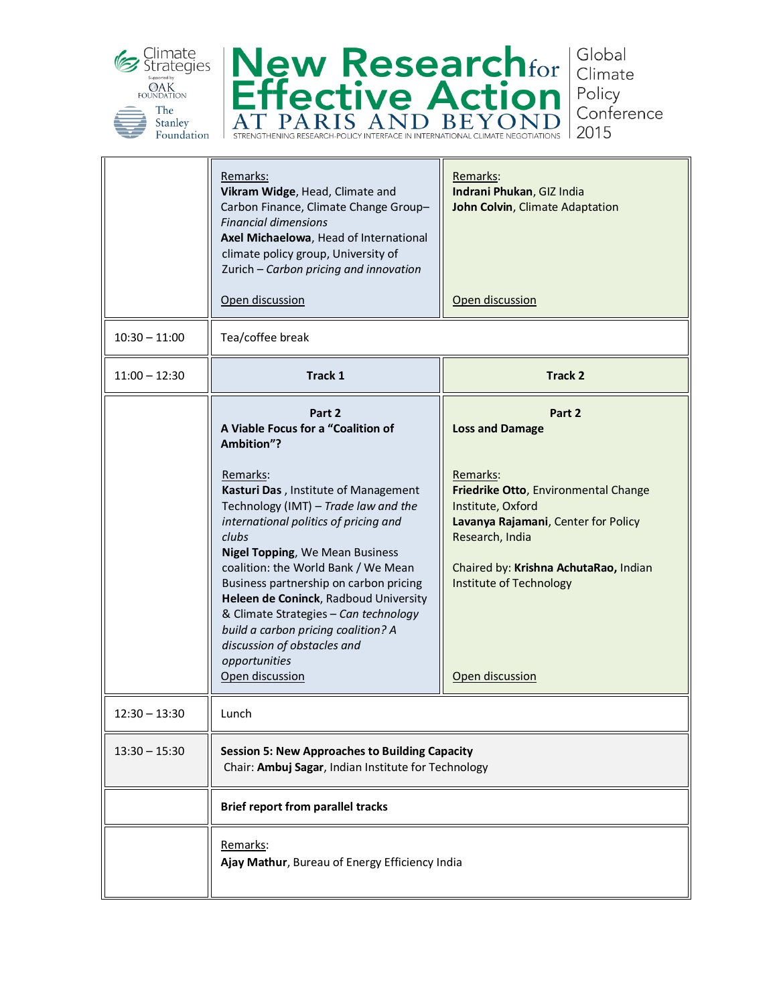



Global Climate Policy Conference 2015

|                 | Remarks:<br>Vikram Widge, Head, Climate and<br>Carbon Finance, Climate Change Group-<br><b>Financial dimensions</b><br>Axel Michaelowa, Head of International<br>climate policy group, University of<br>Zurich - Carbon pricing and innovation<br>Open discussion                                                                                                     | <u>Remarks:</u><br>Indrani Phukan, GIZ India<br>John Colvin, Climate Adaptation<br>Open discussion                                            |  |
|-----------------|-----------------------------------------------------------------------------------------------------------------------------------------------------------------------------------------------------------------------------------------------------------------------------------------------------------------------------------------------------------------------|-----------------------------------------------------------------------------------------------------------------------------------------------|--|
| $10:30 - 11:00$ | Tea/coffee break                                                                                                                                                                                                                                                                                                                                                      |                                                                                                                                               |  |
| $11:00 - 12:30$ | Track 1                                                                                                                                                                                                                                                                                                                                                               | <b>Track 2</b>                                                                                                                                |  |
|                 | Part 2<br>A Viable Focus for a "Coalition of<br>Ambition"?<br>Remarks:<br>Kasturi Das, Institute of Management<br>Technology (IMT) - Trade law and the                                                                                                                                                                                                                | Part 2<br><b>Loss and Damage</b><br>Remarks:<br>Friedrike Otto, Environmental Change<br>Institute, Oxford                                     |  |
|                 | international politics of pricing and<br>clubs<br><b>Nigel Topping, We Mean Business</b><br>coalition: the World Bank / We Mean<br>Business partnership on carbon pricing<br>Heleen de Coninck, Radboud University<br>& Climate Strategies - Can technology<br>build a carbon pricing coalition? A<br>discussion of obstacles and<br>opportunities<br>Open discussion | Lavanya Rajamani, Center for Policy<br>Research, India<br>Chaired by: Krishna AchutaRao, Indian<br>Institute of Technology<br>Open discussion |  |
| $12:30 - 13:30$ | Lunch                                                                                                                                                                                                                                                                                                                                                                 |                                                                                                                                               |  |
| $13:30 - 15:30$ | <b>Session 5: New Approaches to Building Capacity</b><br>Chair: Ambuj Sagar, Indian Institute for Technology                                                                                                                                                                                                                                                          |                                                                                                                                               |  |
|                 | <b>Brief report from parallel tracks</b><br>Remarks:<br>Ajay Mathur, Bureau of Energy Efficiency India                                                                                                                                                                                                                                                                |                                                                                                                                               |  |
|                 |                                                                                                                                                                                                                                                                                                                                                                       |                                                                                                                                               |  |